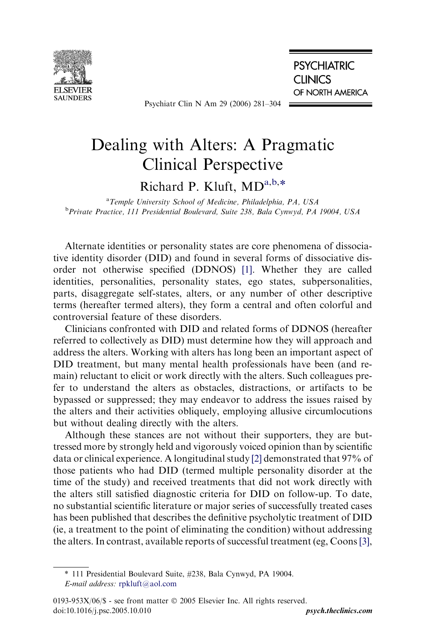

**PSYCHIATRIC CLINICS** OF NORTH AMERICA

Psychiatr Clin N Am 29 (2006) 281–304

# Dealing with Alters: A Pragmatic Clinical Perspective

Richard P. Kluft, MDa,b,\*

<sup>a</sup>Temple University School of Medicine, Philadelphia, PA, USA <sup>b</sup> Private Practice, 111 Presidential Boulevard, Suite 238, Bala Cynwyd, PA 19004, USA

Alternate identities or personality states are core phenomena of dissociative identity disorder (DID) and found in several forms of dissociative disorder not otherwise specified (DDNOS) [\[1\]](#page-21-0). Whether they are called identities, personalities, personality states, ego states, subpersonalities, parts, disaggregate self-states, alters, or any number of other descriptive terms (hereafter termed alters), they form a central and often colorful and controversial feature of these disorders.

Clinicians confronted with DID and related forms of DDNOS (hereafter referred to collectively as DID) must determine how they will approach and address the alters. Working with alters has long been an important aspect of DID treatment, but many mental health professionals have been (and remain) reluctant to elicit or work directly with the alters. Such colleagues prefer to understand the alters as obstacles, distractions, or artifacts to be bypassed or suppressed; they may endeavor to address the issues raised by the alters and their activities obliquely, employing allusive circumlocutions but without dealing directly with the alters.

Although these stances are not without their supporters, they are buttressed more by strongly held and vigorously voiced opinion than by scientific data or clinical experience. A longitudinal study [\[2\]](#page-21-0) demonstrated that 97% of those patients who had DID (termed multiple personality disorder at the time of the study) and received treatments that did not work directly with the alters still satisfied diagnostic criteria for DID on follow-up. To date, no substantial scientific literature or major series of successfully treated cases has been published that describes the definitive psycholytic treatment of DID (ie, a treatment to the point of eliminating the condition) without addressing the alters. In contrast, available reports of successful treatment (eg, Coons [\[3\],](#page-21-0)

<sup>\* 111</sup> Presidential Boulevard Suite, #238, Bala Cynwyd, PA 19004. E-mail address: [rpkluft@aol.com](mailto:rpkluft@aol.com)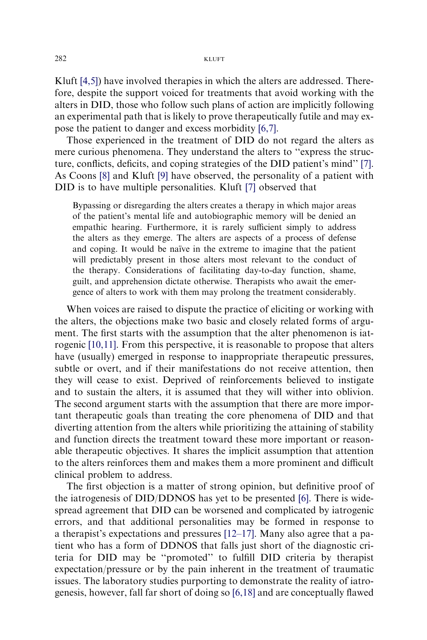Kluft [\[4,5\]](#page-21-0)) have involved therapies in which the alters are addressed. Therefore, despite the support voiced for treatments that avoid working with the alters in DID, those who follow such plans of action are implicitly following an experimental path that is likely to prove therapeutically futile and may expose the patient to danger and excess morbidity [\[6,7\]](#page-21-0).

Those experienced in the treatment of DID do not regard the alters as mere curious phenomena. They understand the alters to ''express the structure, conflicts, deficits, and coping strategies of the DID patient's mind'' [\[7\]](#page-21-0). As Coons [\[8\]](#page-22-0) and Kluft [\[9\]](#page-22-0) have observed, the personality of a patient with DID is to have multiple personalities. Kluft [\[7\]](#page-21-0) observed that

Bypassing or disregarding the alters creates a therapy in which major areas of the patient's mental life and autobiographic memory will be denied an empathic hearing. Furthermore, it is rarely sufficient simply to address the alters as they emerge. The alters are aspects of a process of defense and coping. It would be naïve in the extreme to imagine that the patient will predictably present in those alters most relevant to the conduct of the therapy. Considerations of facilitating day-to-day function, shame, guilt, and apprehension dictate otherwise. Therapists who await the emergence of alters to work with them may prolong the treatment considerably.

When voices are raised to dispute the practice of eliciting or working with the alters, the objections make two basic and closely related forms of argument. The first starts with the assumption that the alter phenomenon is iatrogenic [\[10,11\]](#page-22-0). From this perspective, it is reasonable to propose that alters have (usually) emerged in response to inappropriate therapeutic pressures, subtle or overt, and if their manifestations do not receive attention, then they will cease to exist. Deprived of reinforcements believed to instigate and to sustain the alters, it is assumed that they will wither into oblivion. The second argument starts with the assumption that there are more important therapeutic goals than treating the core phenomena of DID and that diverting attention from the alters while prioritizing the attaining of stability and function directs the treatment toward these more important or reasonable therapeutic objectives. It shares the implicit assumption that attention to the alters reinforces them and makes them a more prominent and difficult clinical problem to address.

The first objection is a matter of strong opinion, but definitive proof of the iatrogenesis of DID/DDNOS has yet to be presented [\[6\]](#page-21-0). There is widespread agreement that DID can be worsened and complicated by iatrogenic errors, and that additional personalities may be formed in response to a therapist's expectations and pressures [\[12–17\]](#page-22-0). Many also agree that a patient who has a form of DDNOS that falls just short of the diagnostic criteria for DID may be ''promoted'' to fulfill DID criteria by therapist expectation/pressure or by the pain inherent in the treatment of traumatic issues. The laboratory studies purporting to demonstrate the reality of iatrogenesis, however, fall far short of doing so [\[6,18\]](#page-21-0) and are conceptually flawed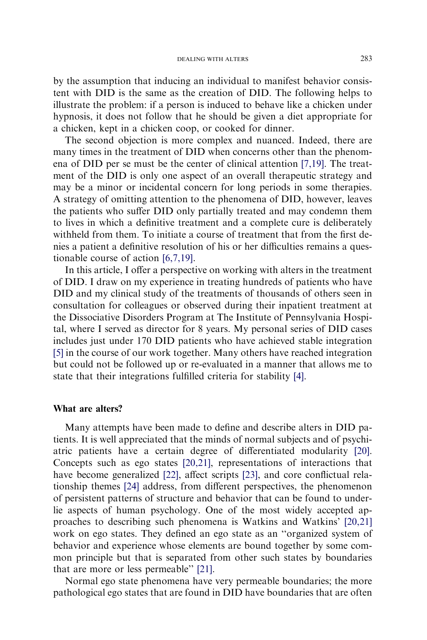by the assumption that inducing an individual to manifest behavior consistent with DID is the same as the creation of DID. The following helps to illustrate the problem: if a person is induced to behave like a chicken under hypnosis, it does not follow that he should be given a diet appropriate for a chicken, kept in a chicken coop, or cooked for dinner.

The second objection is more complex and nuanced. Indeed, there are many times in the treatment of DID when concerns other than the phenomena of DID per se must be the center of clinical attention [\[7,19\].](#page-21-0) The treatment of the DID is only one aspect of an overall therapeutic strategy and may be a minor or incidental concern for long periods in some therapies. A strategy of omitting attention to the phenomena of DID, however, leaves the patients who suffer DID only partially treated and may condemn them to lives in which a definitive treatment and a complete cure is deliberately withheld from them. To initiate a course of treatment that from the first denies a patient a definitive resolution of his or her difficulties remains a questionable course of action [\[6,7,19\]](#page-21-0).

In this article, I offer a perspective on working with alters in the treatment of DID. I draw on my experience in treating hundreds of patients who have DID and my clinical study of the treatments of thousands of others seen in consultation for colleagues or observed during their inpatient treatment at the Dissociative Disorders Program at The Institute of Pennsylvania Hospital, where I served as director for 8 years. My personal series of DID cases includes just under 170 DID patients who have achieved stable integration [\[5\]](#page-21-0) in the course of our work together. Many others have reached integration but could not be followed up or re-evaluated in a manner that allows me to state that their integrations fulfilled criteria for stability [\[4\]](#page-21-0).

### What are alters?

Many attempts have been made to define and describe alters in DID patients. It is well appreciated that the minds of normal subjects and of psychiatric patients have a certain degree of differentiated modularity [\[20\].](#page-22-0) Concepts such as ego states [\[20,21\]](#page-22-0), representations of interactions that have become generalized [\[22\],](#page-22-0) affect scripts [\[23\],](#page-22-0) and core conflictual relationship themes [\[24\]](#page-22-0) address, from different perspectives, the phenomenon of persistent patterns of structure and behavior that can be found to underlie aspects of human psychology. One of the most widely accepted approaches to describing such phenomena is Watkins and Watkins' [\[20,21\]](#page-22-0) work on ego states. They defined an ego state as an ''organized system of behavior and experience whose elements are bound together by some common principle but that is separated from other such states by boundaries that are more or less permeable'' [\[21\].](#page-22-0)

Normal ego state phenomena have very permeable boundaries; the more pathological ego states that are found in DID have boundaries that are often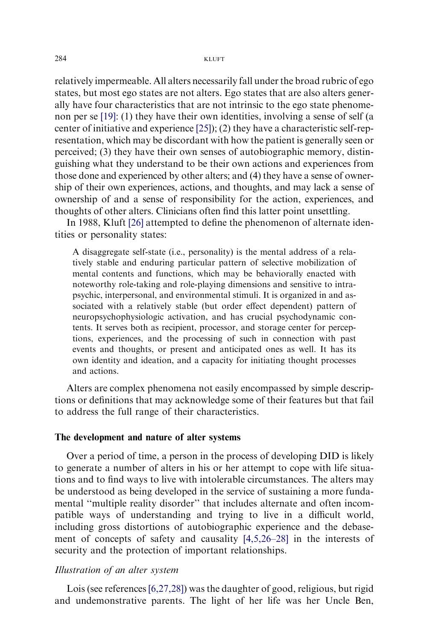relatively impermeable. All alters necessarily fall under the broad rubric of ego states, but most ego states are not alters. Ego states that are also alters generally have four characteristics that are not intrinsic to the ego state phenomenon per se [\[19\]](#page-22-0): (1) they have their own identities, involving a sense of self (a center of initiative and experience [\[25\]\)](#page-22-0); (2) they have a characteristic self-representation, which may be discordant with how the patient is generally seen or perceived; (3) they have their own senses of autobiographic memory, distinguishing what they understand to be their own actions and experiences from those done and experienced by other alters; and (4) they have a sense of ownership of their own experiences, actions, and thoughts, and may lack a sense of ownership of and a sense of responsibility for the action, experiences, and thoughts of other alters. Clinicians often find this latter point unsettling.

In 1988, Kluft [\[26\]](#page-22-0) attempted to define the phenomenon of alternate identities or personality states:

A disaggregate self-state (i.e., personality) is the mental address of a relatively stable and enduring particular pattern of selective mobilization of mental contents and functions, which may be behaviorally enacted with noteworthy role-taking and role-playing dimensions and sensitive to intrapsychic, interpersonal, and environmental stimuli. It is organized in and associated with a relatively stable (but order effect dependent) pattern of neuropsychophysiologic activation, and has crucial psychodynamic contents. It serves both as recipient, processor, and storage center for perceptions, experiences, and the processing of such in connection with past events and thoughts, or present and anticipated ones as well. It has its own identity and ideation, and a capacity for initiating thought processes and actions.

Alters are complex phenomena not easily encompassed by simple descriptions or definitions that may acknowledge some of their features but that fail to address the full range of their characteristics.

## The development and nature of alter systems

Over a period of time, a person in the process of developing DID is likely to generate a number of alters in his or her attempt to cope with life situations and to find ways to live with intolerable circumstances. The alters may be understood as being developed in the service of sustaining a more fundamental ''multiple reality disorder'' that includes alternate and often incompatible ways of understanding and trying to live in a difficult world, including gross distortions of autobiographic experience and the debasement of concepts of safety and causality [\[4,5,26–28\]](#page-21-0) in the interests of security and the protection of important relationships.

# Illustration of an alter system

Lois (see references [\[6,27,28\]\)](#page-21-0) was the daughter of good, religious, but rigid and undemonstrative parents. The light of her life was her Uncle Ben,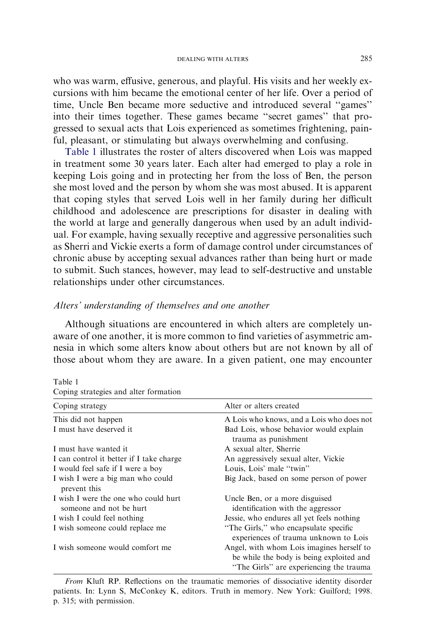who was warm, effusive, generous, and playful. His visits and her weekly excursions with him became the emotional center of her life. Over a period of time, Uncle Ben became more seductive and introduced several ''games'' into their times together. These games became ''secret games'' that progressed to sexual acts that Lois experienced as sometimes frightening, painful, pleasant, or stimulating but always overwhelming and confusing.

Table 1 illustrates the roster of alters discovered when Lois was mapped in treatment some 30 years later. Each alter had emerged to play a role in keeping Lois going and in protecting her from the loss of Ben, the person she most loved and the person by whom she was most abused. It is apparent that coping styles that served Lois well in her family during her difficult childhood and adolescence are prescriptions for disaster in dealing with the world at large and generally dangerous when used by an adult individual. For example, having sexually receptive and aggressive personalities such as Sherri and Vickie exerts a form of damage control under circumstances of chronic abuse by accepting sexual advances rather than being hurt or made to submit. Such stances, however, may lead to self-destructive and unstable relationships under other circumstances.

## Alters' understanding of themselves and one another

Although situations are encountered in which alters are completely unaware of one another, it is more common to find varieties of asymmetric amnesia in which some alters know about others but are not known by all of those about whom they are aware. In a given patient, one may encounter

| D | ١t |  |
|---|----|--|
|   |    |  |

| coping strategies and after formation                           |                                                                                                                                  |  |
|-----------------------------------------------------------------|----------------------------------------------------------------------------------------------------------------------------------|--|
| Coping strategy                                                 | Alter or alters created                                                                                                          |  |
| This did not happen                                             | A Lois who knows, and a Lois who does not                                                                                        |  |
| I must have deserved it                                         | Bad Lois, whose behavior would explain<br>trauma as punishment                                                                   |  |
| I must have wanted it.                                          | A sexual alter, Sherrie                                                                                                          |  |
| I can control it better if I take charge                        | An aggressively sexual alter, Vickie                                                                                             |  |
| I would feel safe if I were a boy                               | Louis, Lois' male "twin"                                                                                                         |  |
| I wish I were a big man who could<br>prevent this               | Big Jack, based on some person of power                                                                                          |  |
| I wish I were the one who could hurt<br>someone and not be hurt | Uncle Ben, or a more disguised<br>identification with the aggressor                                                              |  |
| I wish I could feel nothing                                     | Jessie, who endures all yet feels nothing                                                                                        |  |
| I wish someone could replace me                                 | "The Girls," who encapsulate specific<br>experiences of trauma unknown to Lois                                                   |  |
| I wish someone would comfort me                                 | Angel, with whom Lois imagines herself to<br>be while the body is being exploited and<br>"The Girls" are experiencing the trauma |  |

Coping strategies and alter formation

From Kluft RP. Reflections on the traumatic memories of dissociative identity disorder patients. In: Lynn S, McConkey K, editors. Truth in memory. New York: Guilford; 1998. p. 315; with permission.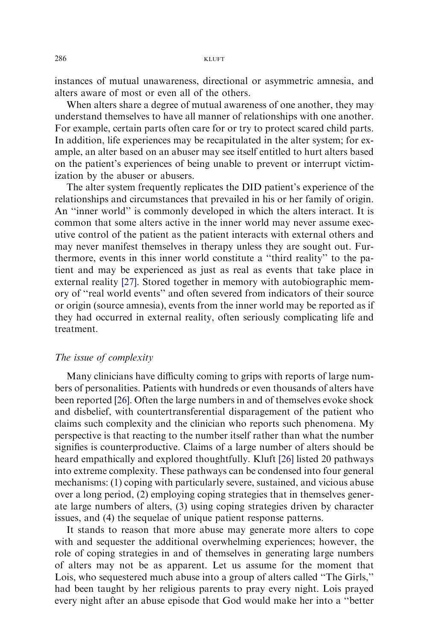instances of mutual unawareness, directional or asymmetric amnesia, and alters aware of most or even all of the others.

When alters share a degree of mutual awareness of one another, they may understand themselves to have all manner of relationships with one another. For example, certain parts often care for or try to protect scared child parts. In addition, life experiences may be recapitulated in the alter system; for example, an alter based on an abuser may see itself entitled to hurt alters based on the patient's experiences of being unable to prevent or interrupt victimization by the abuser or abusers.

The alter system frequently replicates the DID patient's experience of the relationships and circumstances that prevailed in his or her family of origin. An ''inner world'' is commonly developed in which the alters interact. It is common that some alters active in the inner world may never assume executive control of the patient as the patient interacts with external others and may never manifest themselves in therapy unless they are sought out. Furthermore, events in this inner world constitute a ''third reality'' to the patient and may be experienced as just as real as events that take place in external reality [\[27\]](#page-22-0). Stored together in memory with autobiographic memory of ''real world events'' and often severed from indicators of their source or origin (source amnesia), events from the inner world may be reported as if they had occurred in external reality, often seriously complicating life and treatment.

## The issue of complexity

Many clinicians have difficulty coming to grips with reports of large numbers of personalities. Patients with hundreds or even thousands of alters have been reported [\[26\]](#page-22-0). Often the large numbers in and of themselves evoke shock and disbelief, with countertransferential disparagement of the patient who claims such complexity and the clinician who reports such phenomena. My perspective is that reacting to the number itself rather than what the number signifies is counterproductive. Claims of a large number of alters should be heard empathically and explored thoughtfully. Kluft [\[26\]](#page-22-0) listed 20 pathways into extreme complexity. These pathways can be condensed into four general mechanisms: (1) coping with particularly severe, sustained, and vicious abuse over a long period, (2) employing coping strategies that in themselves generate large numbers of alters, (3) using coping strategies driven by character issues, and (4) the sequelae of unique patient response patterns.

It stands to reason that more abuse may generate more alters to cope with and sequester the additional overwhelming experiences; however, the role of coping strategies in and of themselves in generating large numbers of alters may not be as apparent. Let us assume for the moment that Lois, who sequestered much abuse into a group of alters called ''The Girls,'' had been taught by her religious parents to pray every night. Lois prayed every night after an abuse episode that God would make her into a ''better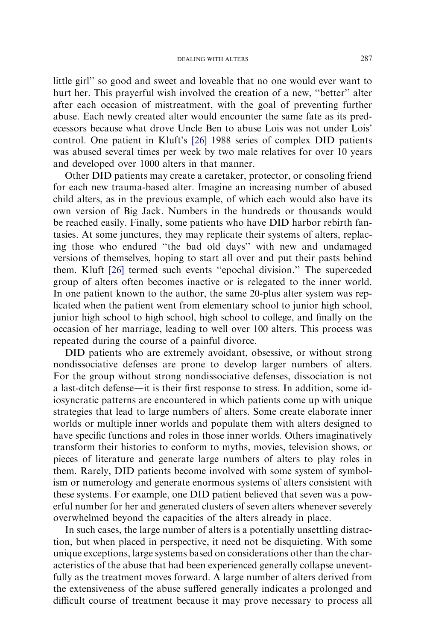little girl'' so good and sweet and loveable that no one would ever want to hurt her. This prayerful wish involved the creation of a new, ''better'' alter after each occasion of mistreatment, with the goal of preventing further abuse. Each newly created alter would encounter the same fate as its predecessors because what drove Uncle Ben to abuse Lois was not under Lois' control. One patient in Kluft's [\[26\]](#page-22-0) 1988 series of complex DID patients was abused several times per week by two male relatives for over 10 years and developed over 1000 alters in that manner.

Other DID patients may create a caretaker, protector, or consoling friend for each new trauma-based alter. Imagine an increasing number of abused child alters, as in the previous example, of which each would also have its own version of Big Jack. Numbers in the hundreds or thousands would be reached easily. Finally, some patients who have DID harbor rebirth fantasies. At some junctures, they may replicate their systems of alters, replacing those who endured ''the bad old days'' with new and undamaged versions of themselves, hoping to start all over and put their pasts behind them. Kluft [\[26\]](#page-22-0) termed such events ''epochal division.'' The superceded group of alters often becomes inactive or is relegated to the inner world. In one patient known to the author, the same 20-plus alter system was replicated when the patient went from elementary school to junior high school, junior high school to high school, high school to college, and finally on the occasion of her marriage, leading to well over 100 alters. This process was repeated during the course of a painful divorce.

DID patients who are extremely avoidant, obsessive, or without strong nondissociative defenses are prone to develop larger numbers of alters. For the group without strong nondissociative defenses, dissociation is not a last-ditch defense—it is their first response to stress. In addition, some idiosyncratic patterns are encountered in which patients come up with unique strategies that lead to large numbers of alters. Some create elaborate inner worlds or multiple inner worlds and populate them with alters designed to have specific functions and roles in those inner worlds. Others imaginatively transform their histories to conform to myths, movies, television shows, or pieces of literature and generate large numbers of alters to play roles in them. Rarely, DID patients become involved with some system of symbolism or numerology and generate enormous systems of alters consistent with these systems. For example, one DID patient believed that seven was a powerful number for her and generated clusters of seven alters whenever severely overwhelmed beyond the capacities of the alters already in place.

In such cases, the large number of alters is a potentially unsettling distraction, but when placed in perspective, it need not be disquieting. With some unique exceptions, large systems based on considerations other than the characteristics of the abuse that had been experienced generally collapse uneventfully as the treatment moves forward. A large number of alters derived from the extensiveness of the abuse suffered generally indicates a prolonged and difficult course of treatment because it may prove necessary to process all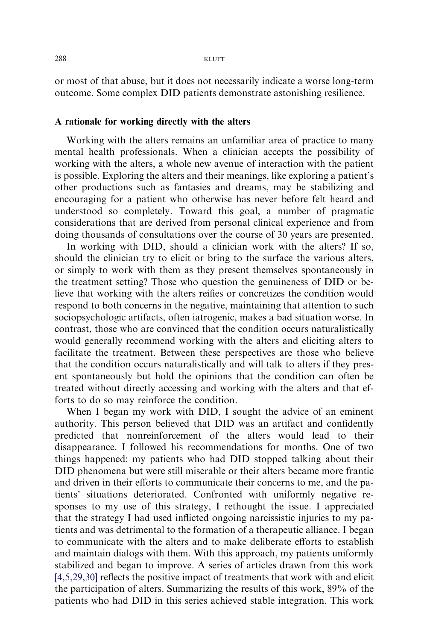or most of that abuse, but it does not necessarily indicate a worse long-term outcome. Some complex DID patients demonstrate astonishing resilience.

#### A rationale for working directly with the alters

Working with the alters remains an unfamiliar area of practice to many mental health professionals. When a clinician accepts the possibility of working with the alters, a whole new avenue of interaction with the patient is possible. Exploring the alters and their meanings, like exploring a patient's other productions such as fantasies and dreams, may be stabilizing and encouraging for a patient who otherwise has never before felt heard and understood so completely. Toward this goal, a number of pragmatic considerations that are derived from personal clinical experience and from doing thousands of consultations over the course of 30 years are presented.

In working with DID, should a clinician work with the alters? If so, should the clinician try to elicit or bring to the surface the various alters, or simply to work with them as they present themselves spontaneously in the treatment setting? Those who question the genuineness of DID or believe that working with the alters reifies or concretizes the condition would respond to both concerns in the negative, maintaining that attention to such sociopsychologic artifacts, often iatrogenic, makes a bad situation worse. In contrast, those who are convinced that the condition occurs naturalistically would generally recommend working with the alters and eliciting alters to facilitate the treatment. Between these perspectives are those who believe that the condition occurs naturalistically and will talk to alters if they present spontaneously but hold the opinions that the condition can often be treated without directly accessing and working with the alters and that efforts to do so may reinforce the condition.

When I began my work with DID, I sought the advice of an eminent authority. This person believed that DID was an artifact and confidently predicted that nonreinforcement of the alters would lead to their disappearance. I followed his recommendations for months. One of two things happened: my patients who had DID stopped talking about their DID phenomena but were still miserable or their alters became more frantic and driven in their efforts to communicate their concerns to me, and the patients' situations deteriorated. Confronted with uniformly negative responses to my use of this strategy, I rethought the issue. I appreciated that the strategy I had used inflicted ongoing narcissistic injuries to my patients and was detrimental to the formation of a therapeutic alliance. I began to communicate with the alters and to make deliberate efforts to establish and maintain dialogs with them. With this approach, my patients uniformly stabilized and began to improve. A series of articles drawn from this work [\[4,5,29,30\]](#page-21-0) reflects the positive impact of treatments that work with and elicit the participation of alters. Summarizing the results of this work, 89% of the patients who had DID in this series achieved stable integration. This work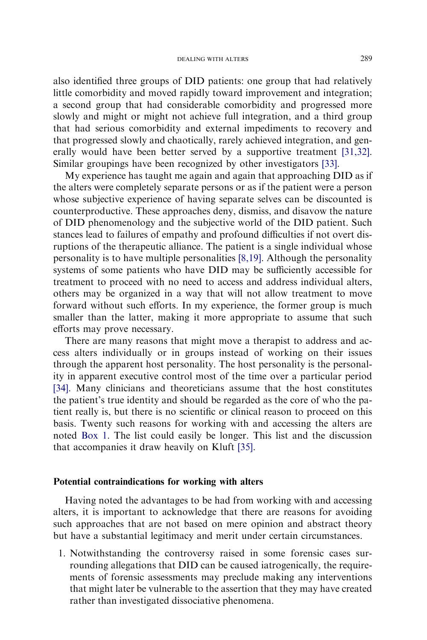also identified three groups of DID patients: one group that had relatively little comorbidity and moved rapidly toward improvement and integration; a second group that had considerable comorbidity and progressed more slowly and might or might not achieve full integration, and a third group that had serious comorbidity and external impediments to recovery and that progressed slowly and chaotically, rarely achieved integration, and generally would have been better served by a supportive treatment [\[31,32\].](#page-22-0) Similar groupings have been recognized by other investigators [\[33\]](#page-22-0).

My experience has taught me again and again that approaching DID as if the alters were completely separate persons or as if the patient were a person whose subjective experience of having separate selves can be discounted is counterproductive. These approaches deny, dismiss, and disavow the nature of DID phenomenology and the subjective world of the DID patient. Such stances lead to failures of empathy and profound difficulties if not overt disruptions of the therapeutic alliance. The patient is a single individual whose personality is to have multiple personalities [\[8,19\]](#page-22-0). Although the personality systems of some patients who have DID may be sufficiently accessible for treatment to proceed with no need to access and address individual alters, others may be organized in a way that will not allow treatment to move forward without such efforts. In my experience, the former group is much smaller than the latter, making it more appropriate to assume that such efforts may prove necessary.

There are many reasons that might move a therapist to address and access alters individually or in groups instead of working on their issues through the apparent host personality. The host personality is the personality in apparent executive control most of the time over a particular period [\[34\]](#page-22-0). Many clinicians and theoreticians assume that the host constitutes the patient's true identity and should be regarded as the core of who the patient really is, but there is no scientific or clinical reason to proceed on this basis. Twenty such reasons for working with and accessing the alters are noted [Box 1](#page-9-0). The list could easily be longer. This list and the discussion that accompanies it draw heavily on Kluft [\[35\].](#page-22-0)

## Potential contraindications for working with alters

Having noted the advantages to be had from working with and accessing alters, it is important to acknowledge that there are reasons for avoiding such approaches that are not based on mere opinion and abstract theory but have a substantial legitimacy and merit under certain circumstances.

1. Notwithstanding the controversy raised in some forensic cases surrounding allegations that DID can be caused iatrogenically, the requirements of forensic assessments may preclude making any interventions that might later be vulnerable to the assertion that they may have created rather than investigated dissociative phenomena.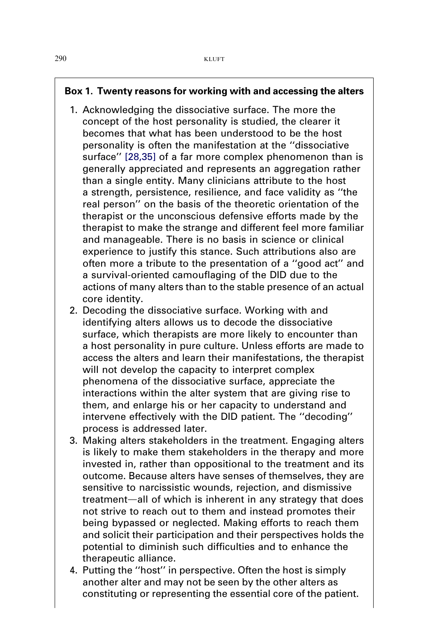# <span id="page-9-0"></span>Box 1. Twenty reasons for working with and accessing the alters

- 1. Acknowledging the dissociative surface. The more the concept of the host personality is studied, the clearer it becomes that what has been understood to be the host personality is often the manifestation at the ''dissociative surface'' [\[28,35\]](#page-22-0) of a far more complex phenomenon than is generally appreciated and represents an aggregation rather than a single entity. Many clinicians attribute to the host a strength, persistence, resilience, and face validity as ''the real person'' on the basis of the theoretic orientation of the therapist or the unconscious defensive efforts made by the therapist to make the strange and different feel more familiar and manageable. There is no basis in science or clinical experience to justify this stance. Such attributions also are often more a tribute to the presentation of a ''good act'' and a survival-oriented camouflaging of the DID due to the actions of many alters than to the stable presence of an actual core identity.
- 2. Decoding the dissociative surface. Working with and identifying alters allows us to decode the dissociative surface, which therapists are more likely to encounter than a host personality in pure culture. Unless efforts are made to access the alters and learn their manifestations, the therapist will not develop the capacity to interpret complex phenomena of the dissociative surface, appreciate the interactions within the alter system that are giving rise to them, and enlarge his or her capacity to understand and intervene effectively with the DID patient. The ''decoding'' process is addressed later.
- 3. Making alters stakeholders in the treatment. Engaging alters is likely to make them stakeholders in the therapy and more invested in, rather than oppositional to the treatment and its outcome. Because alters have senses of themselves, they are sensitive to narcissistic wounds, rejection, and dismissive  $t$ reatment—all of which is inherent in any strategy that does not strive to reach out to them and instead promotes their being bypassed or neglected. Making efforts to reach them and solicit their participation and their perspectives holds the potential to diminish such difficulties and to enhance the therapeutic alliance.
- 4. Putting the ''host'' in perspective. Often the host is simply another alter and may not be seen by the other alters as constituting or representing the essential core of the patient.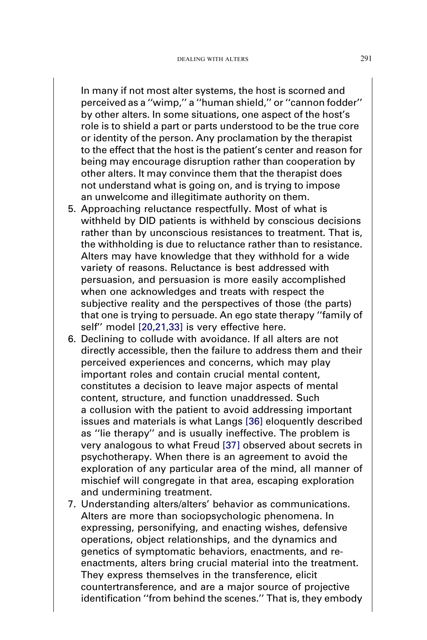In many if not most alter systems, the host is scorned and perceived as a ''wimp,'' a ''human shield,'' or ''cannon fodder'' by other alters. In some situations, one aspect of the host's role is to shield a part or parts understood to be the true core or identity of the person. Any proclamation by the therapist to the effect that the host is the patient's center and reason for being may encourage disruption rather than cooperation by other alters. It may convince them that the therapist does not understand what is going on, and is trying to impose an unwelcome and illegitimate authority on them.

- 5. Approaching reluctance respectfully. Most of what is withheld by DID patients is withheld by conscious decisions rather than by unconscious resistances to treatment. That is, the withholding is due to reluctance rather than to resistance. Alters may have knowledge that they withhold for a wide variety of reasons. Reluctance is best addressed with persuasion, and persuasion is more easily accomplished when one acknowledges and treats with respect the subjective reality and the perspectives of those (the parts) that one is trying to persuade. An ego state therapy ''family of self'' model [\[20,21,33\]](#page-22-0) is very effective here.
- 6. Declining to collude with avoidance. If all alters are not directly accessible, then the failure to address them and their perceived experiences and concerns, which may play important roles and contain crucial mental content, constitutes a decision to leave major aspects of mental content, structure, and function unaddressed. Such a collusion with the patient to avoid addressing important issues and materials is what Langs [\[36\]](#page-23-0) eloquently described as ''lie therapy'' and is usually ineffective. The problem is very analogous to what Freud [\[37\]](#page-23-0) observed about secrets in psychotherapy. When there is an agreement to avoid the exploration of any particular area of the mind, all manner of mischief will congregate in that area, escaping exploration and undermining treatment.
- 7. Understanding alters/alters' behavior as communications. Alters are more than sociopsychologic phenomena. In expressing, personifying, and enacting wishes, defensive operations, object relationships, and the dynamics and genetics of symptomatic behaviors, enactments, and reenactments, alters bring crucial material into the treatment. They express themselves in the transference, elicit countertransference, and are a major source of projective identification ''from behind the scenes.'' That is, they embody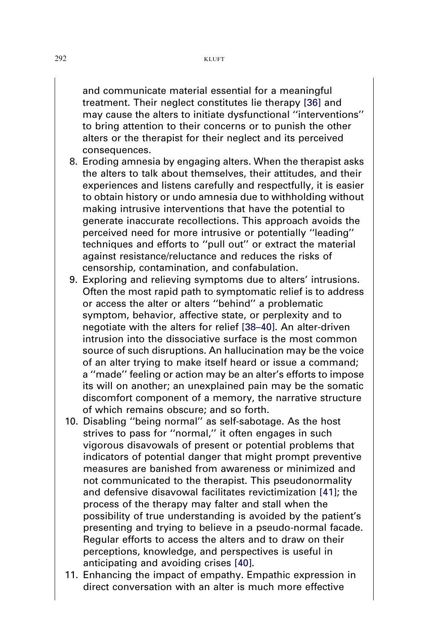and communicate material essential for a meaningful treatment. Their neglect constitutes lie therapy [\[36\]](#page-23-0) and may cause the alters to initiate dysfunctional ''interventions'' to bring attention to their concerns or to punish the other alters or the therapist for their neglect and its perceived consequences.

- 8. Eroding amnesia by engaging alters. When the therapist asks the alters to talk about themselves, their attitudes, and their experiences and listens carefully and respectfully, it is easier to obtain history or undo amnesia due to withholding without making intrusive interventions that have the potential to generate inaccurate recollections. This approach avoids the perceived need for more intrusive or potentially ''leading'' techniques and efforts to ''pull out'' or extract the material against resistance/reluctance and reduces the risks of censorship, contamination, and confabulation.
- 9. Exploring and relieving symptoms due to alters' intrusions. Often the most rapid path to symptomatic relief is to address or access the alter or alters ''behind'' a problematic symptom, behavior, affective state, or perplexity and to negotiate with the alters for relief [\[38–40\]](#page-23-0). An alter-driven intrusion into the dissociative surface is the most common source of such disruptions. An hallucination may be the voice of an alter trying to make itself heard or issue a command; a ''made'' feeling or action may be an alter's efforts to impose its will on another; an unexplained pain may be the somatic discomfort component of a memory, the narrative structure of which remains obscure; and so forth.
- 10. Disabling ''being normal'' as self-sabotage. As the host strives to pass for ''normal,'' it often engages in such vigorous disavowals of present or potential problems that indicators of potential danger that might prompt preventive measures are banished from awareness or minimized and not communicated to the therapist. This pseudonormality and defensive disavowal facilitates revictimization [\[41\];](#page-23-0) the process of the therapy may falter and stall when the possibility of true understanding is avoided by the patient's presenting and trying to believe in a pseudo-normal facade. Regular efforts to access the alters and to draw on their perceptions, knowledge, and perspectives is useful in anticipating and avoiding crises [\[40\].](#page-23-0)
- 11. Enhancing the impact of empathy. Empathic expression in direct conversation with an alter is much more effective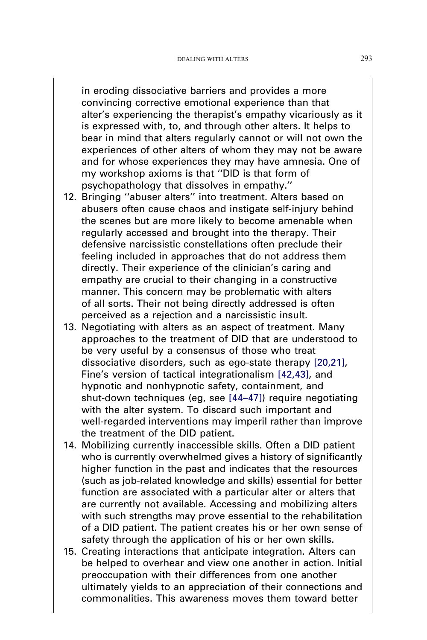in eroding dissociative barriers and provides a more convincing corrective emotional experience than that alter's experiencing the therapist's empathy vicariously as it is expressed with, to, and through other alters. It helps to bear in mind that alters regularly cannot or will not own the experiences of other alters of whom they may not be aware and for whose experiences they may have amnesia. One of my workshop axioms is that ''DID is that form of psychopathology that dissolves in empathy.''

- 12. Bringing ''abuser alters'' into treatment. Alters based on abusers often cause chaos and instigate self-injury behind the scenes but are more likely to become amenable when regularly accessed and brought into the therapy. Their defensive narcissistic constellations often preclude their feeling included in approaches that do not address them directly. Their experience of the clinician's caring and empathy are crucial to their changing in a constructive manner. This concern may be problematic with alters of all sorts. Their not being directly addressed is often perceived as a rejection and a narcissistic insult.
- 13. Negotiating with alters as an aspect of treatment. Many approaches to the treatment of DID that are understood to be very useful by a consensus of those who treat dissociative disorders, such as ego-state therapy [\[20,21\],](#page-22-0) Fine's version of tactical integrationalism [\[42,43\]](#page-23-0), and hypnotic and nonhypnotic safety, containment, and shut-down techniques (eg, see [\[44–47\]](#page-23-0)) require negotiating with the alter system. To discard such important and well-regarded interventions may imperil rather than improve the treatment of the DID patient.
- 14. Mobilizing currently inaccessible skills. Often a DID patient who is currently overwhelmed gives a history of significantly higher function in the past and indicates that the resources (such as job-related knowledge and skills) essential for better function are associated with a particular alter or alters that are currently not available. Accessing and mobilizing alters with such strengths may prove essential to the rehabilitation of a DID patient. The patient creates his or her own sense of safety through the application of his or her own skills.
- 15. Creating interactions that anticipate integration. Alters can be helped to overhear and view one another in action. Initial preoccupation with their differences from one another ultimately yields to an appreciation of their connections and commonalities. This awareness moves them toward better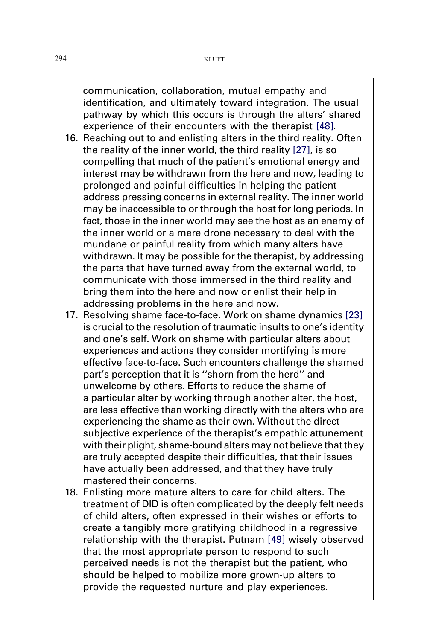communication, collaboration, mutual empathy and identification, and ultimately toward integration. The usual pathway by which this occurs is through the alters' shared experience of their encounters with the therapist [\[48\]](#page-23-0).

- 16. Reaching out to and enlisting alters in the third reality. Often the reality of the inner world, the third reality [\[27\],](#page-22-0) is so compelling that much of the patient's emotional energy and interest may be withdrawn from the here and now, leading to prolonged and painful difficulties in helping the patient address pressing concerns in external reality. The inner world may be inaccessible to or through the host for long periods. In fact, those in the inner world may see the host as an enemy of the inner world or a mere drone necessary to deal with the mundane or painful reality from which many alters have withdrawn. It may be possible for the therapist, by addressing the parts that have turned away from the external world, to communicate with those immersed in the third reality and bring them into the here and now or enlist their help in addressing problems in the here and now.
- 17. Resolving shame face-to-face. Work on shame dynamics [\[23\]](#page-22-0) is crucial to the resolution of traumatic insults to one's identity and one's self. Work on shame with particular alters about experiences and actions they consider mortifying is more effective face-to-face. Such encounters challenge the shamed part's perception that it is ''shorn from the herd'' and unwelcome by others. Efforts to reduce the shame of a particular alter by working through another alter, the host, are less effective than working directly with the alters who are experiencing the shame as their own. Without the direct subjective experience of the therapist's empathic attunement with their plight, shame-bound alters may not believe that they are truly accepted despite their difficulties, that their issues have actually been addressed, and that they have truly mastered their concerns.
- 18. Enlisting more mature alters to care for child alters. The treatment of DID is often complicated by the deeply felt needs of child alters, often expressed in their wishes or efforts to create a tangibly more gratifying childhood in a regressive relationship with the therapist. Putnam [\[49\]](#page-23-0) wisely observed that the most appropriate person to respond to such perceived needs is not the therapist but the patient, who should be helped to mobilize more grown-up alters to provide the requested nurture and play experiences.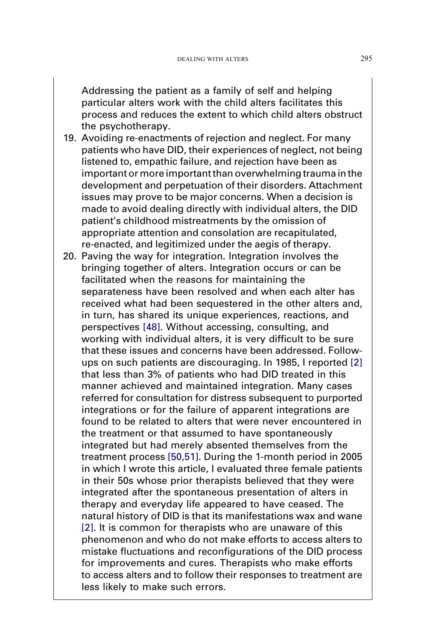Addressing the patient as a family of self and helping particular alters work with the child alters facilitates this process and reduces the extent to which child alters obstruct the psychotherapy.

- 19. Avoiding re-enactments of rejection and neglect. For many patients who have DID, their experiences of neglect, not being listened to, empathic failure, and rejection have been as important or more important than overwhelming trauma in the development and perpetuation of their disorders. Attachment issues may prove to be major concerns. When a decision is made to avoid dealing directly with individual alters, the DID patient's childhood mistreatments by the omission of appropriate attention and consolation are recapitulated, re-enacted, and legitimized under the aegis of therapy.
- 20. Paving the way for integration. Integration involves the bringing together of alters. Integration occurs or can be facilitated when the reasons for maintaining the separateness have been resolved and when each alter has received what had been sequestered in the other alters and, in turn, has shared its unique experiences, reactions, and perspectives [\[48\]](#page-23-0). Without accessing, consulting, and working with individual alters, it is very difficult to be sure that these issues and concerns have been addressed. Followups on such patients are discouraging. In 1985, I reported [\[2\]](#page-21-0) that less than 3% of patients who had DID treated in this manner achieved and maintained integration. Many cases referred for consultation for distress subsequent to purported integrations or for the failure of apparent integrations are found to be related to alters that were never encountered in the treatment or that assumed to have spontaneously integrated but had merely absented themselves from the treatment process [\[50,51\].](#page-23-0) During the 1-month period in 2005 in which I wrote this article, I evaluated three female patients in their 50s whose prior therapists believed that they were integrated after the spontaneous presentation of alters in therapy and everyday life appeared to have ceased. The natural history of DID is that its manifestations wax and wane [\[2\]](#page-21-0). It is common for therapists who are unaware of this phenomenon and who do not make efforts to access alters to mistake fluctuations and reconfigurations of the DID process for improvements and cures. Therapists who make efforts to access alters and to follow their responses to treatment are less likely to make such errors.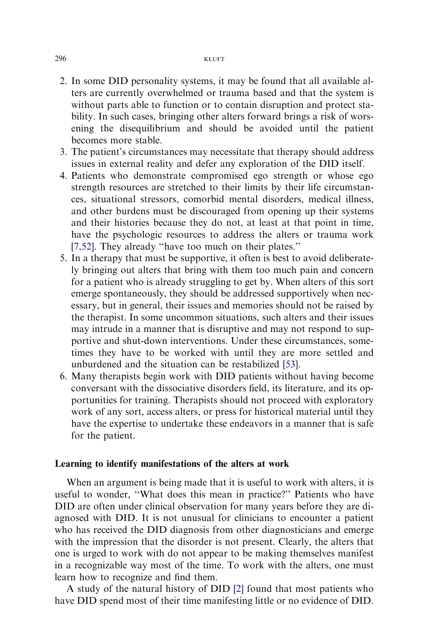- 2. In some DID personality systems, it may be found that all available alters are currently overwhelmed or trauma based and that the system is without parts able to function or to contain disruption and protect stability. In such cases, bringing other alters forward brings a risk of worsening the disequilibrium and should be avoided until the patient becomes more stable.
- 3. The patient's circumstances may necessitate that therapy should address issues in external reality and defer any exploration of the DID itself.
- 4. Patients who demonstrate compromised ego strength or whose ego strength resources are stretched to their limits by their life circumstances, situational stressors, comorbid mental disorders, medical illness, and other burdens must be discouraged from opening up their systems and their histories because they do not, at least at that point in time, have the psychologic resources to address the alters or trauma work [\[7,52\]](#page-21-0). They already "have too much on their plates."
- 5. In a therapy that must be supportive, it often is best to avoid deliberately bringing out alters that bring with them too much pain and concern for a patient who is already struggling to get by. When alters of this sort emerge spontaneously, they should be addressed supportively when necessary, but in general, their issues and memories should not be raised by the therapist. In some uncommon situations, such alters and their issues may intrude in a manner that is disruptive and may not respond to supportive and shut-down interventions. Under these circumstances, sometimes they have to be worked with until they are more settled and unburdened and the situation can be restabilized [\[53\].](#page-23-0)
- 6. Many therapists begin work with DID patients without having become conversant with the dissociative disorders field, its literature, and its opportunities for training. Therapists should not proceed with exploratory work of any sort, access alters, or press for historical material until they have the expertise to undertake these endeavors in a manner that is safe for the patient.

#### Learning to identify manifestations of the alters at work

When an argument is being made that it is useful to work with alters, it is useful to wonder, ''What does this mean in practice?'' Patients who have DID are often under clinical observation for many years before they are diagnosed with DID. It is not unusual for clinicians to encounter a patient who has received the DID diagnosis from other diagnosticians and emerge with the impression that the disorder is not present. Clearly, the alters that one is urged to work with do not appear to be making themselves manifest in a recognizable way most of the time. To work with the alters, one must learn how to recognize and find them.

A study of the natural history of DID [\[2\]](#page-21-0) found that most patients who have DID spend most of their time manifesting little or no evidence of DID.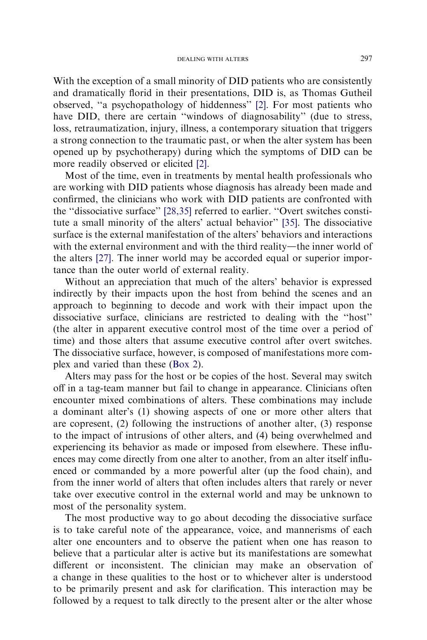With the exception of a small minority of DID patients who are consistently and dramatically florid in their presentations, DID is, as Thomas Gutheil observed, ''a psychopathology of hiddenness'' [\[2\]](#page-21-0). For most patients who have DID, there are certain ''windows of diagnosability'' (due to stress, loss, retraumatization, injury, illness, a contemporary situation that triggers a strong connection to the traumatic past, or when the alter system has been opened up by psychotherapy) during which the symptoms of DID can be more readily observed or elicited [\[2\]](#page-21-0).

Most of the time, even in treatments by mental health professionals who are working with DID patients whose diagnosis has already been made and confirmed, the clinicians who work with DID patients are confronted with the ''dissociative surface'' [\[28,35\]](#page-22-0) referred to earlier. ''Overt switches constitute a small minority of the alters' actual behavior'' [\[35\].](#page-22-0) The dissociative surface is the external manifestation of the alters' behaviors and interactions with the external environment and with the third reality—the inner world of the alters [\[27\]](#page-22-0). The inner world may be accorded equal or superior importance than the outer world of external reality.

Without an appreciation that much of the alters' behavior is expressed indirectly by their impacts upon the host from behind the scenes and an approach to beginning to decode and work with their impact upon the dissociative surface, clinicians are restricted to dealing with the ''host'' (the alter in apparent executive control most of the time over a period of time) and those alters that assume executive control after overt switches. The dissociative surface, however, is composed of manifestations more complex and varied than these ([Box 2\)](#page-17-0).

Alters may pass for the host or be copies of the host. Several may switch off in a tag-team manner but fail to change in appearance. Clinicians often encounter mixed combinations of alters. These combinations may include a dominant alter's (1) showing aspects of one or more other alters that are copresent, (2) following the instructions of another alter, (3) response to the impact of intrusions of other alters, and (4) being overwhelmed and experiencing its behavior as made or imposed from elsewhere. These influences may come directly from one alter to another, from an alter itself influenced or commanded by a more powerful alter (up the food chain), and from the inner world of alters that often includes alters that rarely or never take over executive control in the external world and may be unknown to most of the personality system.

The most productive way to go about decoding the dissociative surface is to take careful note of the appearance, voice, and mannerisms of each alter one encounters and to observe the patient when one has reason to believe that a particular alter is active but its manifestations are somewhat different or inconsistent. The clinician may make an observation of a change in these qualities to the host or to whichever alter is understood to be primarily present and ask for clarification. This interaction may be followed by a request to talk directly to the present alter or the alter whose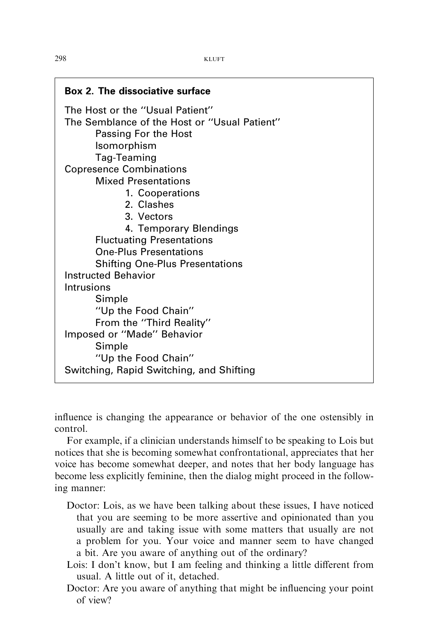# <span id="page-17-0"></span>Box 2. The dissociative surface

The Host or the ''Usual Patient'' The Semblance of the Host or ''Usual Patient'' Passing For the Host Isomorphism Tag-Teaming Copresence Combinations Mixed Presentations 1. Cooperations 2. Clashes 3. Vectors 4. Temporary Blendings Fluctuating Presentations One-Plus Presentations Shifting One-Plus Presentations Instructed Behavior Intrusions Simple ''Up the Food Chain'' From the ''Third Reality'' Imposed or ''Made'' Behavior Simple ''Up the Food Chain'' Switching, Rapid Switching, and Shifting

influence is changing the appearance or behavior of the one ostensibly in control.

For example, if a clinician understands himself to be speaking to Lois but notices that she is becoming somewhat confrontational, appreciates that her voice has become somewhat deeper, and notes that her body language has become less explicitly feminine, then the dialog might proceed in the following manner:

- Doctor: Lois, as we have been talking about these issues, I have noticed that you are seeming to be more assertive and opinionated than you usually are and taking issue with some matters that usually are not a problem for you. Your voice and manner seem to have changed a bit. Are you aware of anything out of the ordinary?
- Lois: I don't know, but I am feeling and thinking a little different from usual. A little out of it, detached.
- Doctor: Are you aware of anything that might be influencing your point of view?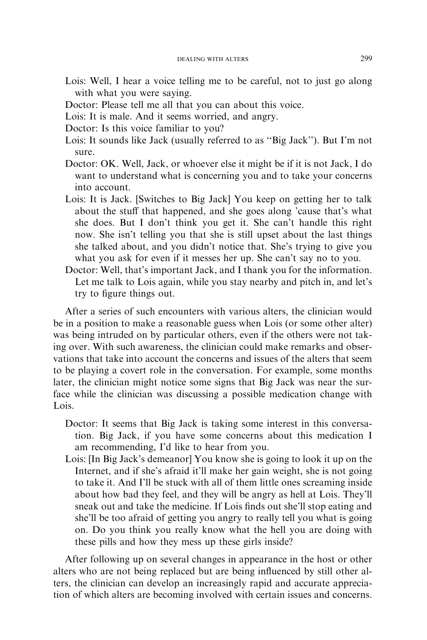- Lois: Well, I hear a voice telling me to be careful, not to just go along with what you were saying.
- Doctor: Please tell me all that you can about this voice.
- Lois: It is male. And it seems worried, and angry.
- Doctor: Is this voice familiar to you?
- Lois: It sounds like Jack (usually referred to as ''Big Jack''). But I'm not sure.
- Doctor: OK. Well, Jack, or whoever else it might be if it is not Jack, I do want to understand what is concerning you and to take your concerns into account.
- Lois: It is Jack. [Switches to Big Jack] You keep on getting her to talk about the stuff that happened, and she goes along 'cause that's what she does. But I don't think you get it. She can't handle this right now. She isn't telling you that she is still upset about the last things she talked about, and you didn't notice that. She's trying to give you what you ask for even if it messes her up. She can't say no to you.
- Doctor: Well, that's important Jack, and I thank you for the information. Let me talk to Lois again, while you stay nearby and pitch in, and let's try to figure things out.

After a series of such encounters with various alters, the clinician would be in a position to make a reasonable guess when Lois (or some other alter) was being intruded on by particular others, even if the others were not taking over. With such awareness, the clinician could make remarks and observations that take into account the concerns and issues of the alters that seem to be playing a covert role in the conversation. For example, some months later, the clinician might notice some signs that Big Jack was near the surface while the clinician was discussing a possible medication change with Lois.

- Doctor: It seems that Big Jack is taking some interest in this conversation. Big Jack, if you have some concerns about this medication I am recommending, I'd like to hear from you.
- Lois: [In Big Jack's demeanor] You know she is going to look it up on the Internet, and if she's afraid it'll make her gain weight, she is not going to take it. And I'll be stuck with all of them little ones screaming inside about how bad they feel, and they will be angry as hell at Lois. They'll sneak out and take the medicine. If Lois finds out she'll stop eating and she'll be too afraid of getting you angry to really tell you what is going on. Do you think you really know what the hell you are doing with these pills and how they mess up these girls inside?

After following up on several changes in appearance in the host or other alters who are not being replaced but are being influenced by still other alters, the clinician can develop an increasingly rapid and accurate appreciation of which alters are becoming involved with certain issues and concerns.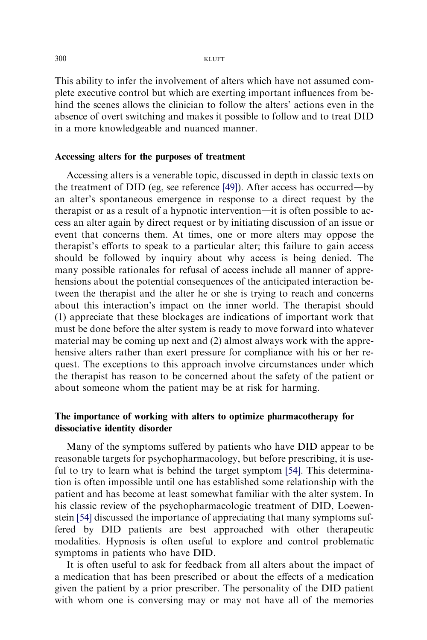This ability to infer the involvement of alters which have not assumed complete executive control but which are exerting important influences from behind the scenes allows the clinician to follow the alters' actions even in the absence of overt switching and makes it possible to follow and to treat DID in a more knowledgeable and nuanced manner.

## Accessing alters for the purposes of treatment

Accessing alters is a venerable topic, discussed in depth in classic texts on the treatment of DID (eg, see reference [\[49\]](#page-23-0)). After access has occurred—by an alter's spontaneous emergence in response to a direct request by the therapist or as a result of a hypnotic intervention—it is often possible to access an alter again by direct request or by initiating discussion of an issue or event that concerns them. At times, one or more alters may oppose the therapist's efforts to speak to a particular alter; this failure to gain access should be followed by inquiry about why access is being denied. The many possible rationales for refusal of access include all manner of apprehensions about the potential consequences of the anticipated interaction between the therapist and the alter he or she is trying to reach and concerns about this interaction's impact on the inner world. The therapist should (1) appreciate that these blockages are indications of important work that must be done before the alter system is ready to move forward into whatever material may be coming up next and (2) almost always work with the apprehensive alters rather than exert pressure for compliance with his or her request. The exceptions to this approach involve circumstances under which the therapist has reason to be concerned about the safety of the patient or about someone whom the patient may be at risk for harming.

# The importance of working with alters to optimize pharmacotherapy for dissociative identity disorder

Many of the symptoms suffered by patients who have DID appear to be reasonable targets for psychopharmacology, but before prescribing, it is useful to try to learn what is behind the target symptom [\[54\]](#page-23-0). This determination is often impossible until one has established some relationship with the patient and has become at least somewhat familiar with the alter system. In his classic review of the psychopharmacologic treatment of DID, Loewenstein [\[54\]](#page-23-0) discussed the importance of appreciating that many symptoms suffered by DID patients are best approached with other therapeutic modalities. Hypnosis is often useful to explore and control problematic symptoms in patients who have DID.

It is often useful to ask for feedback from all alters about the impact of a medication that has been prescribed or about the effects of a medication given the patient by a prior prescriber. The personality of the DID patient with whom one is conversing may or may not have all of the memories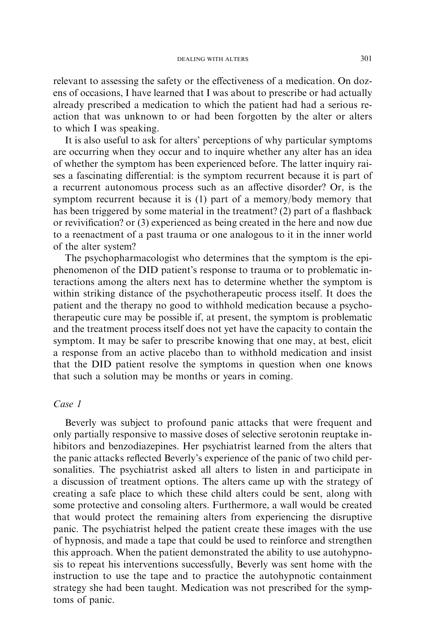relevant to assessing the safety or the effectiveness of a medication. On dozens of occasions, I have learned that I was about to prescribe or had actually already prescribed a medication to which the patient had had a serious reaction that was unknown to or had been forgotten by the alter or alters to which I was speaking.

It is also useful to ask for alters' perceptions of why particular symptoms are occurring when they occur and to inquire whether any alter has an idea of whether the symptom has been experienced before. The latter inquiry raises a fascinating differential: is the symptom recurrent because it is part of a recurrent autonomous process such as an affective disorder? Or, is the symptom recurrent because it is (1) part of a memory/body memory that has been triggered by some material in the treatment? (2) part of a flashback or revivification? or (3) experienced as being created in the here and now due to a reenactment of a past trauma or one analogous to it in the inner world of the alter system?

The psychopharmacologist who determines that the symptom is the epiphenomenon of the DID patient's response to trauma or to problematic interactions among the alters next has to determine whether the symptom is within striking distance of the psychotherapeutic process itself. It does the patient and the therapy no good to withhold medication because a psychotherapeutic cure may be possible if, at present, the symptom is problematic and the treatment process itself does not yet have the capacity to contain the symptom. It may be safer to prescribe knowing that one may, at best, elicit a response from an active placebo than to withhold medication and insist that the DID patient resolve the symptoms in question when one knows that such a solution may be months or years in coming.

## Case 1

Beverly was subject to profound panic attacks that were frequent and only partially responsive to massive doses of selective serotonin reuptake inhibitors and benzodiazepines. Her psychiatrist learned from the alters that the panic attacks reflected Beverly's experience of the panic of two child personalities. The psychiatrist asked all alters to listen in and participate in a discussion of treatment options. The alters came up with the strategy of creating a safe place to which these child alters could be sent, along with some protective and consoling alters. Furthermore, a wall would be created that would protect the remaining alters from experiencing the disruptive panic. The psychiatrist helped the patient create these images with the use of hypnosis, and made a tape that could be used to reinforce and strengthen this approach. When the patient demonstrated the ability to use autohypnosis to repeat his interventions successfully, Beverly was sent home with the instruction to use the tape and to practice the autohypnotic containment strategy she had been taught. Medication was not prescribed for the symptoms of panic.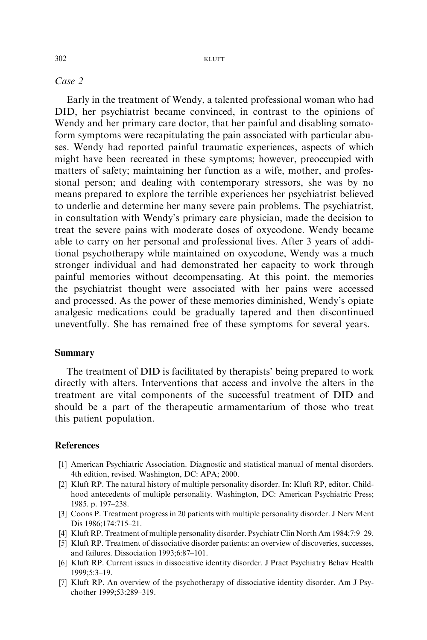# <span id="page-21-0"></span>Case 2

Early in the treatment of Wendy, a talented professional woman who had DID, her psychiatrist became convinced, in contrast to the opinions of Wendy and her primary care doctor, that her painful and disabling somatoform symptoms were recapitulating the pain associated with particular abuses. Wendy had reported painful traumatic experiences, aspects of which might have been recreated in these symptoms; however, preoccupied with matters of safety; maintaining her function as a wife, mother, and professional person; and dealing with contemporary stressors, she was by no means prepared to explore the terrible experiences her psychiatrist believed to underlie and determine her many severe pain problems. The psychiatrist, in consultation with Wendy's primary care physician, made the decision to treat the severe pains with moderate doses of oxycodone. Wendy became able to carry on her personal and professional lives. After 3 years of additional psychotherapy while maintained on oxycodone, Wendy was a much stronger individual and had demonstrated her capacity to work through painful memories without decompensating. At this point, the memories the psychiatrist thought were associated with her pains were accessed and processed. As the power of these memories diminished, Wendy's opiate analgesic medications could be gradually tapered and then discontinued uneventfully. She has remained free of these symptoms for several years.

# Summary

The treatment of DID is facilitated by therapists' being prepared to work directly with alters. Interventions that access and involve the alters in the treatment are vital components of the successful treatment of DID and should be a part of the therapeutic armamentarium of those who treat this patient population.

# References

- [1] American Psychiatric Association. Diagnostic and statistical manual of mental disorders. 4th edition, revised. Washington, DC: APA; 2000.
- [2] Kluft RP. The natural history of multiple personality disorder. In: Kluft RP, editor. Childhood antecedents of multiple personality. Washington, DC: American Psychiatric Press; 1985. p. 197–238.
- [3] Coons P. Treatment progress in 20 patients with multiple personality disorder. J Nerv Ment Dis 1986;174:715–21.
- [4] Kluft RP. Treatment of multiple personality disorder. Psychiatr Clin North Am 1984;7:9–29.
- [5] Kluft RP. Treatment of dissociative disorder patients: an overview of discoveries, successes, and failures. Dissociation 1993;6:87–101.
- [6] Kluft RP. Current issues in dissociative identity disorder. J Pract Psychiatry Behav Health 1999;5:3–19.
- [7] Kluft RP. An overview of the psychotherapy of dissociative identity disorder. Am J Psychother 1999;53:289–319.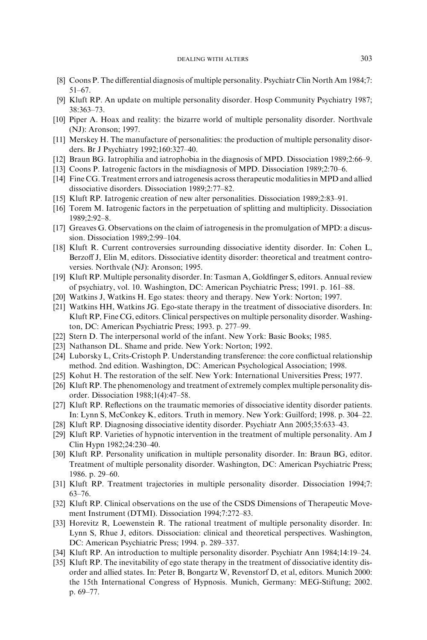- <span id="page-22-0"></span>[8] Coons P. The differential diagnosis of multiple personality. Psychiatr Clin North Am 1984;7: 51–67.
- [9] Kluft RP. An update on multiple personality disorder. Hosp Community Psychiatry 1987; 38:363–73.
- [10] Piper A. Hoax and reality: the bizarre world of multiple personality disorder. Northvale (NJ): Aronson; 1997.
- [11] Merskey H. The manufacture of personalities: the production of multiple personality disorders. Br J Psychiatry 1992;160:327–40.
- [12] Braun BG. Iatrophilia and iatrophobia in the diagnosis of MPD. Dissociation 1989;2:66–9.
- [13] Coons P. Iatrogenic factors in the misdiagnosis of MPD. Dissociation 1989;2:70–6.
- [14] Fine CG. Treatment errors and iatrogenesis across therapeutic modalities in MPD and allied dissociative disorders. Dissociation 1989;2:77–82.
- [15] Kluft RP. Iatrogenic creation of new alter personalities. Dissociation 1989;2:83–91.
- [16] Torem M. Iatrogenic factors in the perpetuation of splitting and multiplicity. Dissociation 1989;2:92–8.
- [17] Greaves G. Observations on the claim of iatrogenesis in the promulgation of MPD: a discussion. Dissociation 1989;2:99–104.
- [18] Kluft R. Current controversies surrounding dissociative identity disorder. In: Cohen L, Berzoff J, Elin M, editors. Dissociative identity disorder: theoretical and treatment controversies. Northvale (NJ): Aronson; 1995.
- [19] Kluft RP. Multiple personality disorder. In: Tasman A, Goldfinger S, editors. Annual review of psychiatry, vol. 10. Washington, DC: American Psychiatric Press; 1991. p. 161–88.
- [20] Watkins J, Watkins H. Ego states: theory and therapy. New York: Norton; 1997.
- [21] Watkins HH, Watkins JG. Ego-state therapy in the treatment of dissociative disorders. In: Kluft RP, Fine CG, editors. Clinical perspectives on multiple personality disorder. Washington, DC: American Psychiatric Press; 1993. p. 277–99.
- [22] Stern D. The interpersonal world of the infant. New York: Basic Books; 1985.
- [23] Nathanson DL. Shame and pride. New York: Norton; 1992.
- [24] Luborsky L, Crits-Cristoph P. Understanding transference: the core conflictual relationship method. 2nd edition. Washington, DC: American Psychological Association; 1998.
- [25] Kohut H. The restoration of the self. New York: International Universities Press; 1977.
- [26] Kluft RP. The phenomenology and treatment of extremely complex multiple personality disorder. Dissociation 1988;1(4):47–58.
- [27] Kluft RP. Reflections on the traumatic memories of dissociative identity disorder patients. In: Lynn S, McConkey K, editors. Truth in memory. New York: Guilford; 1998. p. 304–22.
- [28] Kluft RP. Diagnosing dissociative identity disorder. Psychiatr Ann 2005;35:633–43.
- [29] Kluft RP. Varieties of hypnotic intervention in the treatment of multiple personality. Am J Clin Hypn 1982;24:230–40.
- [30] Kluft RP. Personality unification in multiple personality disorder. In: Braun BG, editor. Treatment of multiple personality disorder. Washington, DC: American Psychiatric Press; 1986. p. 29–60.
- [31] Kluft RP. Treatment trajectories in multiple personality disorder. Dissociation 1994;7: 63–76.
- [32] Kluft RP. Clinical observations on the use of the CSDS Dimensions of Therapeutic Movement Instrument (DTMI). Dissociation 1994;7:272–83.
- [33] Horevitz R, Loewenstein R. The rational treatment of multiple personality disorder. In: Lynn S, Rhue J, editors. Dissociation: clinical and theoretical perspectives. Washington, DC: American Psychiatric Press; 1994. p. 289–337.
- [34] Kluft RP. An introduction to multiple personality disorder. Psychiatr Ann 1984;14:19–24.
- [35] Kluft RP. The inevitability of ego state therapy in the treatment of dissociative identity disorder and allied states. In: Peter B, Bongartz W, Revenstorf D, et al, editors. Munich 2000: the 15th International Congress of Hypnosis. Munich, Germany: MEG-Stiftung; 2002. p. 69–77.